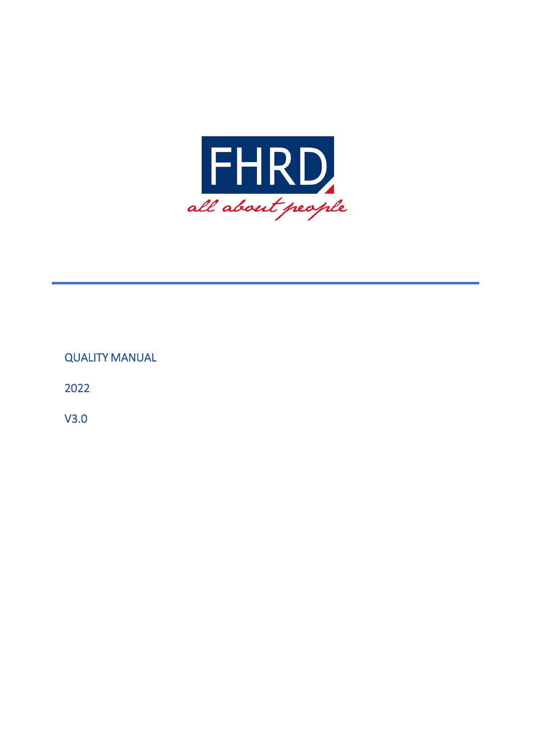

# QUALITY MANUAL

2022

V3.0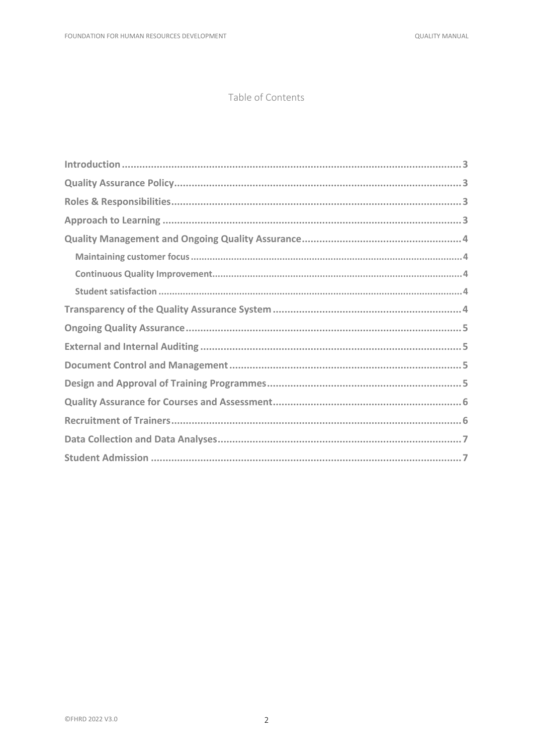#### Table of Contents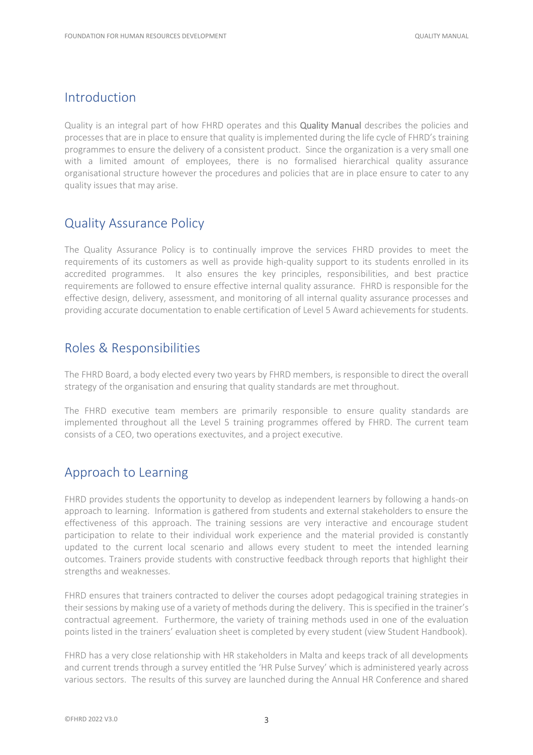#### <span id="page-2-0"></span>Introduction

Quality is an integral part of how FHRD operates and this Quality Manual describes the policies and processes that are in place to ensure that quality is implemented during the life cycle of FHRD's training programmes to ensure the delivery of a consistent product. Since the organization is a very small one with a limited amount of employees, there is no formalised hierarchical quality assurance organisational structure however the procedures and policies that are in place ensure to cater to any quality issues that may arise.

#### <span id="page-2-1"></span>Quality Assurance Policy

The Quality Assurance Policy is to continually improve the services FHRD provides to meet the requirements of its customers as well as provide high-quality support to its students enrolled in its accredited programmes. It also ensures the key principles, responsibilities, and best practice requirements are followed to ensure effective internal quality assurance. FHRD is responsible for the effective design, delivery, assessment, and monitoring of all internal quality assurance processes and providing accurate documentation to enable certification of Level 5 Award achievements for students.

### <span id="page-2-2"></span>Roles & Responsibilities

The FHRD Board, a body elected every two years by FHRD members, is responsible to direct the overall strategy of the organisation and ensuring that quality standards are met throughout.

The FHRD executive team members are primarily responsible to ensure quality standards are implemented throughout all the Level 5 training programmes offered by FHRD. The current team consists of a CEO, two operations exectuvites, and a project executive.

### <span id="page-2-3"></span>Approach to Learning

FHRD provides students the opportunity to develop as independent learners by following a hands-on approach to learning. Information is gathered from students and external stakeholders to ensure the effectiveness of this approach. The training sessions are very interactive and encourage student participation to relate to their individual work experience and the material provided is constantly updated to the current local scenario and allows every student to meet the intended learning outcomes. Trainers provide students with constructive feedback through reports that highlight their strengths and weaknesses.

FHRD ensures that trainers contracted to deliver the courses adopt pedagogical training strategies in their sessions by making use of a variety of methods during the delivery. This is specified in the trainer's contractual agreement. Furthermore, the variety of training methods used in one of the evaluation points listed in the trainers' evaluation sheet is completed by every student (view Student Handbook).

FHRD has a very close relationship with HR stakeholders in Malta and keeps track of all developments and current trends through a survey entitled the 'HR Pulse Survey' which is administered yearly across various sectors. The results of this survey are launched during the Annual HR Conference and shared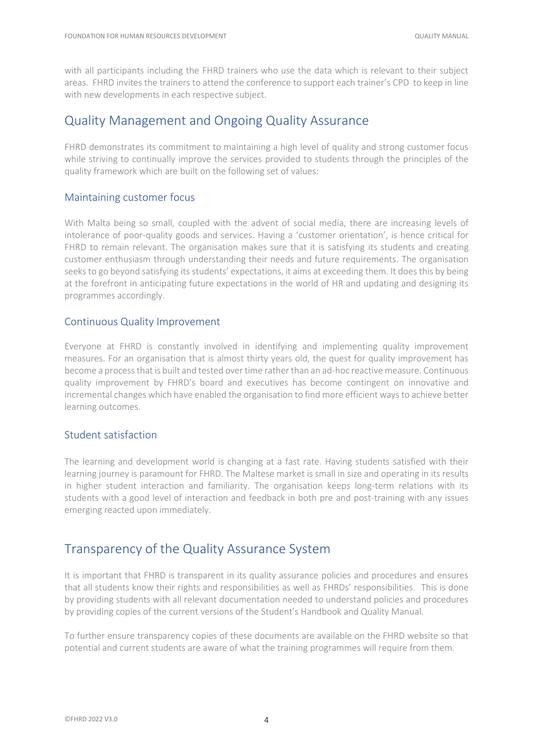with all participants including the FHRD trainers who use the data which is relevant to their subject areas. FHRD invites the trainers to attend the conference to support each trainer's CPD to keep in line with new developments in each respective subject.

## <span id="page-3-0"></span>Quality Management and Ongoing Quality Assurance

FHRD demonstrates its commitment to maintaining a high level of quality and strong customer focus while striving to continually improve the services provided to students through the principles of the quality framework which are built on the following set of values:

#### <span id="page-3-1"></span>Maintaining customer focus

With Malta being so small, coupled with the advent of social media, there are increasing levels of intolerance of poor-quality goods and services. Having a 'customer orientation', is hence critical for FHRD to remain relevant. The organisation makes sure that it is satisfying its students and creating customer enthusiasm through understanding their needs and future requirements. The organisation seeks to go beyond satisfying its students' expectations, it aims at exceeding them. It does this by being at the forefront in anticipating future expectations in the world of HR and updating and designing its programmes accordingly.

#### <span id="page-3-2"></span>Continuous Quality Improvement

Everyone at FHRD is constantly involved in identifying and implementing quality improvement measures. For an organisation that is almost thirty years old, the quest for quality improvement has become a process that is built and tested over time rather than an ad-hoc reactive measure. Continuous quality improvement by FHRD's board and executives has become contingent on innovative and incremental changes which have enabled the organisation to find more efficient ways to achieve better learning outcomes.

#### <span id="page-3-3"></span>Student satisfaction

The learning and development world is changing at a fast rate. Having students satisfied with their learning journey is paramount for FHRD. The Maltese market is small in size and operating in its results in higher student interaction and familiarity. The organisation keeps long-term relations with its students with a good level of interaction and feedback in both pre and post-training with any issues emerging reacted upon immediately.

### <span id="page-3-4"></span>Transparency of the Quality Assurance System

It is important that FHRD is transparent in its quality assurance policies and procedures and ensures that all students know their rights and responsibilities as well as FHRDs' responsibilities. This is done by providing students with all relevant documentation needed to understand policies and procedures by providing copies of the current versions of the Student's Handbook and Quality Manual.

To further ensure transparency copies of these documents are available on the FHRD website so that potential and current students are aware of what the training programmes will require from them.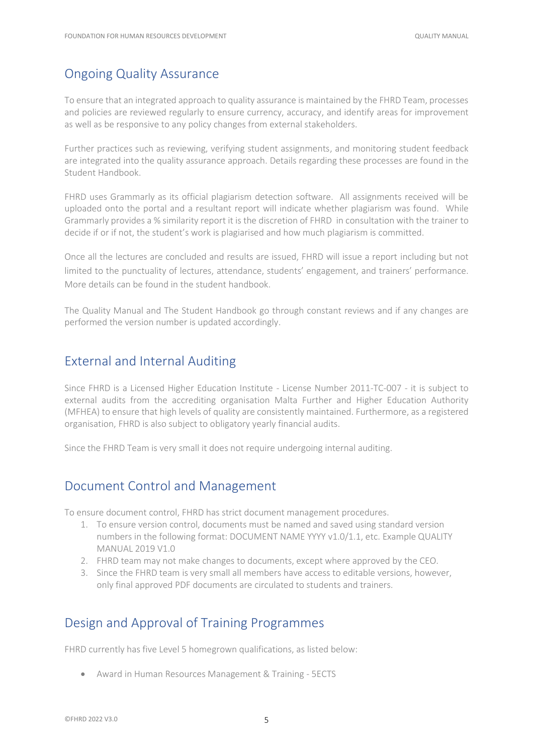# <span id="page-4-0"></span>Ongoing Quality Assurance

To ensure that an integrated approach to quality assurance is maintained by the FHRD Team, processes and policies are reviewed regularly to ensure currency, accuracy, and identify areas for improvement as well as be responsive to any policy changes from external stakeholders.

Further practices such as reviewing, verifying student assignments, and monitoring student feedback are integrated into the quality assurance approach. Details regarding these processes are found in the Student Handbook.

FHRD uses Grammarly as its official plagiarism detection software. All assignments received will be uploaded onto the portal and a resultant report will indicate whether plagiarism was found. While Grammarly provides a % similarity report it is the discretion of FHRD in consultation with the trainer to decide if or if not, the student's work is plagiarised and how much plagiarism is committed.

Once all the lectures are concluded and results are issued, FHRD will issue a report including but not limited to the punctuality of lectures, attendance, students' engagement, and trainers' performance. More details can be found in the student handbook.

The Quality Manual and The Student Handbook go through constant reviews and if any changes are performed the version number is updated accordingly.

## <span id="page-4-1"></span>External and Internal Auditing

Since FHRD is a Licensed Higher Education Institute - License Number 2011-TC-007 - it is subject to external audits from the accrediting organisation Malta Further and Higher Education Authority (MFHEA) to ensure that high levels of quality are consistently maintained. Furthermore, as a registered organisation, FHRD is also subject to obligatory yearly financial audits.

Since the FHRD Team is very small it does not require undergoing internal auditing.

## <span id="page-4-2"></span>Document Control and Management

To ensure document control, FHRD has strict document management procedures.

- 1. To ensure version control, documents must be named and saved using standard version numbers in the following format: DOCUMENT NAME YYYY v1.0/1.1, etc. Example QUALITY MANUAL 2019 V1.0
- 2. FHRD team may not make changes to documents, except where approved by the CEO.
- 3. Since the FHRD team is very small all members have access to editable versions, however, only final approved PDF documents are circulated to students and trainers.

## <span id="page-4-3"></span>Design and Approval of Training Programmes

FHRD currently has five Level 5 homegrown qualifications, as listed below:

• Award in Human Resources Management & Training - 5ECTS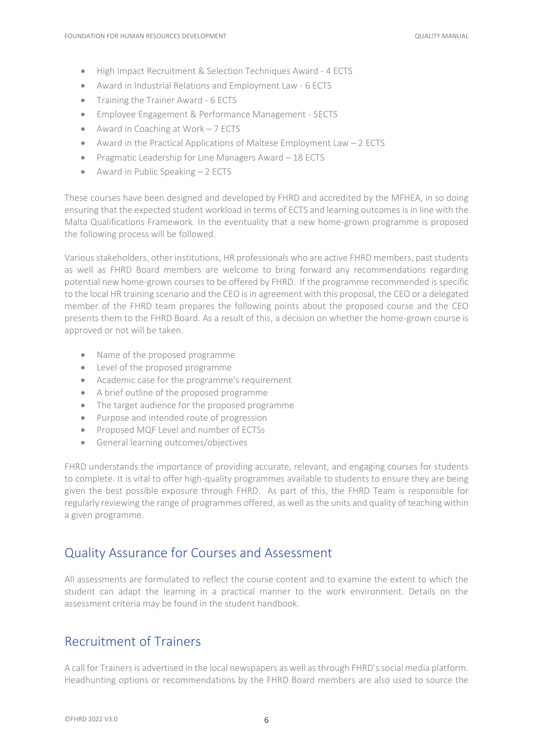- High Impact Recruitment & Selection Techniques Award 4 ECTS
- Award in Industrial Relations and Employment Law 6 ECTS
- Training the Trainer Award 6 ECTS
- Employee Engagement & Performance Management 5ECTS
- Award in Coaching at Work 7 ECTS
- Award in the Practical Applications of Maltese Employment Law 2 ECTS
- Pragmatic Leadership for Line Managers Award 18 ECTS
- Award in Public Speaking 2 ECTS

These courses have been designed and developed by FHRD and accredited by the MFHEA, in so doing ensuring that the expected student workload in terms of ECTS and learning outcomes is in line with the Malta Qualifications Framework. In the eventuality that a new home-grown programme is proposed the following process will be followed.

Various stakeholders, other institutions, HR professionals who are active FHRD members, past students as well as FHRD Board members are welcome to bring forward any recommendations regarding potential new home-grown courses to be offered by FHRD. If the programme recommended is specific to the local HR training scenario and the CEO is in agreement with this proposal, the CEO or a delegated member of the FHRD team prepares the following points about the proposed course and the CEO presents them to the FHRD Board. As a result of this, a decision on whether the home-grown course is approved or not will be taken.

- Name of the proposed programme
- Level of the proposed programme
- Academic case for the programme's requirement
- A brief outline of the proposed programme
- The target audience for the proposed programme
- Purpose and intended route of progression
- Proposed MQF Level and number of ECTSs
- General learning outcomes/objectives

FHRD understands the importance of providing accurate, relevant, and engaging courses for students to complete. It is vital to offer high-quality programmes available to students to ensure they are being given the best possible exposure through FHRD. As part of this, the FHRD Team is responsible for regularly reviewing the range of programmes offered, as well as the units and quality of teaching within a given programme.

#### <span id="page-5-0"></span>Quality Assurance for Courses and Assessment

All assessments are formulated to reflect the course content and to examine the extent to which the student can adapt the learning in a practical manner to the work environment. Details on the assessment criteria may be found in the student handbook.

### <span id="page-5-1"></span>Recruitment of Trainers

A call for Trainers is advertised in the local newspapers as well as through FHRD's social media platform. Headhunting options or recommendations by the FHRD Board members are also used to source the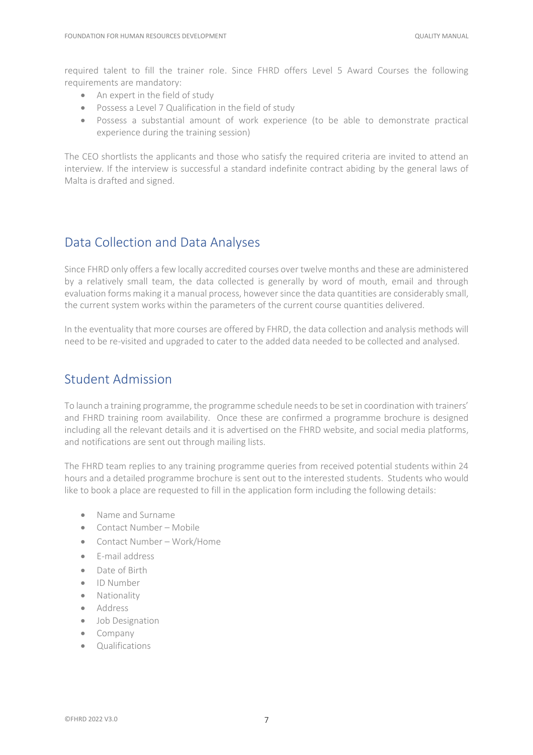required talent to fill the trainer role. Since FHRD offers Level 5 Award Courses the following requirements are mandatory:

- An expert in the field of study
- Possess a Level 7 Qualification in the field of study
- Possess a substantial amount of work experience (to be able to demonstrate practical experience during the training session)

The CEO shortlists the applicants and those who satisfy the required criteria are invited to attend an interview. If the interview is successful a standard indefinite contract abiding by the general laws of Malta is drafted and signed.

## <span id="page-6-0"></span>Data Collection and Data Analyses

Since FHRD only offers a few locally accredited courses over twelve months and these are administered by a relatively small team, the data collected is generally by word of mouth, email and through evaluation forms making it a manual process, however since the data quantities are considerably small, the current system works within the parameters of the current course quantities delivered.

In the eventuality that more courses are offered by FHRD, the data collection and analysis methods will need to be re-visited and upgraded to cater to the added data needed to be collected and analysed.

## <span id="page-6-1"></span>Student Admission

To launch a training programme, the programme schedule needs to be set in coordination with trainers' and FHRD training room availability. Once these are confirmed a programme brochure is designed including all the relevant details and it is advertised on the FHRD website, and social media platforms, and notifications are sent out through mailing lists.

The FHRD team replies to any training programme queries from received potential students within 24 hours and a detailed programme brochure is sent out to the interested students. Students who would like to book a place are requested to fill in the application form including the following details:

- Name and Surname
- Contact Number Mobile
- Contact Number Work/Home
- E-mail address
- Date of Birth
- ID Number
- Nationality
- Address
- Job Designation
- Company
- Qualifications